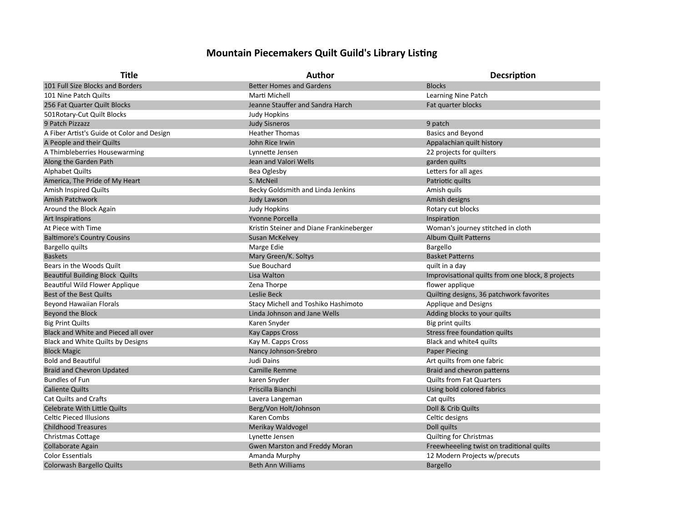## **Mountain Piecemakers Quilt Guild's Library Listing**

| <b>Title</b>                               | <b>Author</b>                            | Decsription                                       |
|--------------------------------------------|------------------------------------------|---------------------------------------------------|
| 101 Full Size Blocks and Borders           | <b>Better Homes and Gardens</b>          | <b>Blocks</b>                                     |
| 101 Nine Patch Quilts                      | Marti Michell                            | Learning Nine Patch                               |
| 256 Fat Quarter Quilt Blocks               | Jeanne Stauffer and Sandra Harch         | Fat quarter blocks                                |
| 501 Rotary-Cut Quilt Blocks                | <b>Judy Hopkins</b>                      |                                                   |
| 9 Patch Pizzazz                            | <b>Judy Sisneros</b>                     | 9 patch                                           |
| A Fiber Artist's Guide ot Color and Design | <b>Heather Thomas</b>                    | <b>Basics and Beyond</b>                          |
| A People and their Quilts                  | John Rice Irwin                          | Appalachian quilt history                         |
| A Thimbleberries Housewarming              | Lynnette Jensen                          | 22 projects for quilters                          |
| Along the Garden Path                      | Jean and Valori Wells                    | garden quilts                                     |
| <b>Alphabet Quilts</b>                     | Bea Oglesby                              | Letters for all ages                              |
| America, The Pride of My Heart             | S. McNeil                                | Patriotic quilts                                  |
| <b>Amish Inspired Quilts</b>               | Becky Goldsmith and Linda Jenkins        | Amish quils                                       |
| <b>Amish Patchwork</b>                     | <b>Judy Lawson</b>                       | Amish designs                                     |
| Around the Block Again                     | <b>Judy Hopkins</b>                      | Rotary cut blocks                                 |
| Art Inspirations                           | <b>Yvonne Porcella</b>                   | Inspiration                                       |
| At Piece with Time                         | Kristin Steiner and Diane Frankineberger | Woman's journey stitched in cloth                 |
| <b>Baltimore's Country Cousins</b>         | Susan McKelvey                           | <b>Album Quilt Patterns</b>                       |
| Bargello quilts                            | Marge Edie                               | Bargello                                          |
| <b>Baskets</b>                             | Mary Green/K. Soltys                     | <b>Basket Patterns</b>                            |
| Bears in the Woods Quilt                   | Sue Bouchard                             | quilt in a day                                    |
| <b>Beautiful Building Block Quilts</b>     | Lisa Walton                              | Improvisational quilts from one block, 8 projects |
| <b>Beautiful Wild Flower Applique</b>      | Zena Thorpe                              | flower applique                                   |
| Best of the Best Quilts                    | Leslie Beck                              | Quilting designs, 36 patchwork favorites          |
| <b>Beyond Hawaiian Florals</b>             | Stacy Michell and Toshiko Hashimoto      | <b>Applique and Designs</b>                       |
| Beyond the Block                           | Linda Johnson and Jane Wells             | Adding blocks to your quilts                      |
| <b>Big Print Quilts</b>                    | Karen Snyder                             | Big print quilts                                  |
| Black and White and Pieced all over        | <b>Kay Capps Cross</b>                   | Stress free foundation quilts                     |
| <b>Black and White Quilts by Designs</b>   | Kay M. Capps Cross                       | Black and white4 quilts                           |
| <b>Block Magic</b>                         | Nancy Johnson-Srebro                     | <b>Paper Piecing</b>                              |
| <b>Bold and Beautiful</b>                  | Judi Dains                               | Art quilts from one fabric                        |
| <b>Braid and Chevron Updated</b>           | <b>Camille Remme</b>                     | Braid and chevron patterns                        |
| <b>Bundles of Fun</b>                      | karen Snyder                             | <b>Quilts from Fat Quarters</b>                   |
| <b>Caliente Quilts</b>                     | Priscilla Bianchi                        | Using bold colored fabrics                        |
| <b>Cat Quilts and Crafts</b>               | Lavera Langeman                          | Cat quilts                                        |
| <b>Celebrate With Little Quilts</b>        | Berg/Von Holt/Johnson                    | Doll & Crib Quilts                                |
| <b>Celtic Pieced Illusions</b>             | Karen Combs                              | Celtic designs                                    |
| <b>Childhood Treasures</b>                 | Merikay Waldvogel                        | Doll quilts                                       |
| Christmas Cottage                          | Lynette Jensen                           | Quilting for Christmas                            |
| <b>Collaborate Again</b>                   | Gwen Marston and Freddy Moran            | Freewheeeling twist on traditional quilts         |
| <b>Color Essentials</b>                    | Amanda Murphy                            | 12 Modern Projects w/precuts                      |
| <b>Colorwash Bargello Quilts</b>           | <b>Beth Ann Williams</b>                 | <b>Bargello</b>                                   |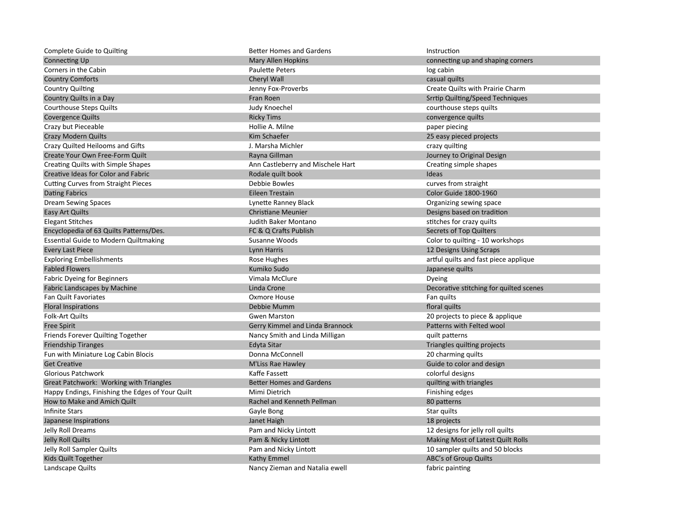| <b>Complete Guide to Quilting</b>                | <b>Better Homes and Gardens</b>   | Instruction                             |
|--------------------------------------------------|-----------------------------------|-----------------------------------------|
| <b>Connecting Up</b>                             | Mary Allen Hopkins                | connecting up and shaping corners       |
| Corners in the Cabin                             | <b>Paulette Peters</b>            | log cabin                               |
| <b>Country Comforts</b>                          | Cheryl Wall                       | casual quilts                           |
| <b>Country Quilting</b>                          | Jenny Fox-Proverbs                | Create Quilts with Prairie Charm        |
| Country Quilts in a Day                          | Fran Roen                         | <b>Srrtip Quilting/Speed Techniques</b> |
| <b>Courthouse Steps Quilts</b>                   | Judy Knoechel                     | courthouse steps quilts                 |
| <b>Covergence Quilts</b>                         | <b>Ricky Tims</b>                 | convergence quilts                      |
| Crazy but Pieceable                              | Hollie A. Milne                   | paper piecing                           |
| <b>Crazy Modern Quilts</b>                       | Kim Schaefer                      | 25 easy pieced projects                 |
| Crazy Quilted Heilooms and Gifts                 | J. Marsha Michler                 | crazy quilting                          |
| Create Your Own Free-Form Quilt                  | Rayna Gillman                     | Journey to Original Design              |
| Creating Quilts with Simple Shapes               | Ann Castleberry and Mischele Hart | Creating simple shapes                  |
| Creative Ideas for Color and Fabric              | Rodale quilt book                 | Ideas                                   |
| <b>Cutting Curves from Straight Pieces</b>       | Debbie Bowles                     | curves from straight                    |
| <b>Dating Fabrics</b>                            | Eileen Trestain                   | <b>Color Guide 1800-1960</b>            |
| <b>Dream Sewing Spaces</b>                       | Lynette Ranney Black              | Organizing sewing space                 |
| Easy Art Quilts                                  | <b>Christiane Meunier</b>         | Designs based on tradition              |
| <b>Elegant Stitches</b>                          | Judith Baker Montano              | stitches for crazy quilts               |
| Encyclopedia of 63 Quilts Patterns/Des.          | FC & Q Crafts Publish             | Secrets of Top Quilters                 |
| <b>Essential Guide to Modern Quiltmaking</b>     | Susanne Woods                     | Color to quilting - 10 workshops        |
| <b>Every Last Piece</b>                          | Lynn Harris                       | 12 Designs Using Scraps                 |
| <b>Exploring Embellishments</b>                  | Rose Hughes                       | artful quilts and fast piece applique   |
| <b>Fabled Flowers</b>                            | Kumiko Sudo                       | Japanese quilts                         |
| <b>Fabric Dyeing for Beginners</b>               | Vimala McClure                    | Dyeing                                  |
| Fabric Landscapes by Machine                     | Linda Crone                       | Decorative stitching for quilted scenes |
| <b>Fan Quilt Favoriates</b>                      | Oxmore House                      | Fan quilts                              |
| <b>Floral Inspirations</b>                       | Debbie Mumm                       | floral quilts                           |
| <b>Folk-Art Quilts</b>                           | <b>Gwen Marston</b>               | 20 projects to piece & applique         |
| <b>Free Spirit</b>                               | Gerry Kimmel and Linda Brannock   | Patterns with Felted wool               |
| Friends Forever Quilting Together                | Nancy Smith and Linda Milligan    | quilt patterns                          |
| <b>Friendship Tiranges</b>                       | Edyta Sitar                       | Triangles quilting projects             |
| Fun with Miniature Log Cabin Blocis              | Donna McConnell                   | 20 charming quilts                      |
| <b>Get Creative</b>                              | <b>M'Liss Rae Hawley</b>          | Guide to color and design               |
| Glorious Patchwork                               | Kaffe Fassett                     | colorful designs                        |
| Great Patchwork: Working with Triangles          | <b>Better Homes and Gardens</b>   | quilting with triangles                 |
| Happy Endings, Finishing the Edges of Your Quilt | Mimi Dietrich                     | Finishing edges                         |
| How to Make and Amich Quilt                      | Rachel and Kenneth Pellman        | 80 patterns                             |
| <b>Infinite Stars</b>                            | Gayle Bong                        | Star quilts                             |
| Japanese Inspirations                            | Janet Haigh                       | 18 projects                             |
| Jelly Roll Dreams                                | Pam and Nicky Lintott             | 12 designs for jelly roll quilts        |
| Jelly Roll Quilts                                | Pam & Nicky Lintott               | Making Most of Latest Quilt Rolls       |
| Jelly Roll Sampler Quilts                        | Pam and Nicky Lintott             | 10 sampler quilts and 50 blocks         |
| Kids Quilt Together                              | Kathy Emmel                       | ABC's of Group Quilts                   |
| Landscape Quilts                                 | Nancy Zieman and Natalia ewell    | fabric painting                         |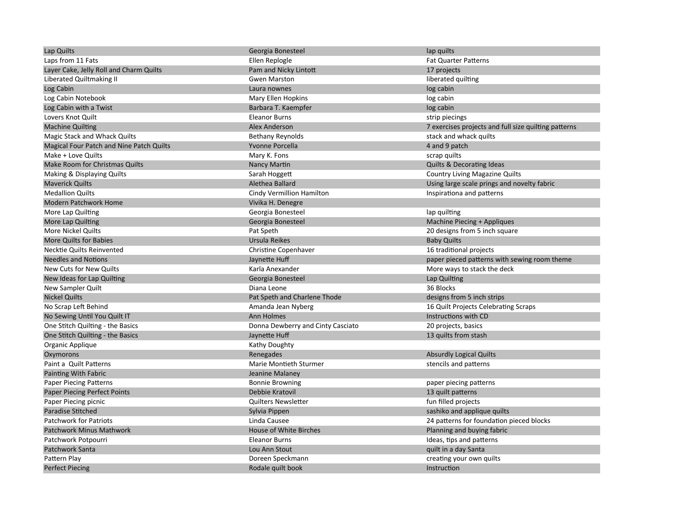| Lap Quilts                               | Georgia Bonesteel                 | lap quilts                                           |
|------------------------------------------|-----------------------------------|------------------------------------------------------|
| Laps from 11 Fats                        | Ellen Replogle                    | <b>Fat Quarter Patterns</b>                          |
| Layer Cake, Jelly Roll and Charm Quilts  | Pam and Nicky Lintott             | 17 projects                                          |
| Liberated Quiltmaking II                 | <b>Gwen Marston</b>               | liberated quilting                                   |
| Log Cabin                                | Laura nownes                      | log cabin                                            |
| Log Cabin Notebook                       | Mary Ellen Hopkins                | log cabin                                            |
| Log Cabin with a Twist                   | Barbara T. Kaempfer               | log cabin                                            |
| Lovers Knot Quilt                        | <b>Eleanor Burns</b>              | strip piecings                                       |
| <b>Machine Quilting</b>                  | <b>Alex Anderson</b>              | 7 exercises projects and full size quilting patterns |
| Magic Stack and Whack Quilts             | <b>Bethany Reynolds</b>           | stack and whack quilts                               |
| Magical Four Patch and Nine Patch Quilts | Yvonne Porcella                   | 4 and 9 patch                                        |
| Make + Love Quilts                       | Mary K. Fons                      | scrap quilts                                         |
| Make Room for Christmas Quilts           | Nancy Martin                      | <b>Quilts &amp; Decorating Ideas</b>                 |
| Making & Displaying Quilts               | Sarah Hoggett                     | <b>Country Living Magazine Quilts</b>                |
| <b>Maverick Quilts</b>                   | Alethea Ballard                   | Using large scale prings and novelty fabric          |
| <b>Medallion Quilts</b>                  | Cindy Vermillion Hamilton         | Inspirationa and patterns                            |
| <b>Modern Patchwork Home</b>             | Vivika H. Denegre                 |                                                      |
| More Lap Quilting                        | Georgia Bonesteel                 | lap quilting                                         |
| More Lap Quilting                        | Georgia Bonesteel                 | Machine Piecing + Appliques                          |
| More Nickel Quilts                       | Pat Speth                         | 20 designs from 5 inch square                        |
| <b>More Quilts for Babies</b>            | Ursula Reikes                     | <b>Baby Quilts</b>                                   |
| Necktie Quilts Reinvented                | Christine Copenhaver              | 16 traditional projects                              |
| <b>Needles and Notions</b>               | Jaynette Huff                     | paper pieced patterns with sewing room theme         |
| New Cuts for New Quilts                  | Karla Anexander                   | More ways to stack the deck                          |
| New Ideas for Lap Quilting               | Georgia Bonesteel                 | Lap Quilting                                         |
| New Sampler Quilt                        | Diana Leone                       | 36 Blocks                                            |
| <b>Nickel Quilts</b>                     | Pat Speth and Charlene Thode      | designs from 5 inch strips                           |
| No Scrap Left Behind                     | Amanda Jean Nyberg                | 16 Quilt Projects Celebrating Scraps                 |
| No Sewing Until You Quilt IT             | <b>Ann Holmes</b>                 | Instructions with CD                                 |
| One Stitch Quilting - the Basics         | Donna Dewberry and Cinty Casciato | 20 projects, basics                                  |
| One Stitch Quilting - the Basics         | Jaynette Huff                     | 13 quilts from stash                                 |
| Organic Applique                         | Kathy Doughty                     |                                                      |
| Oxymorons                                | Renegades                         | <b>Absurdly Logical Quilts</b>                       |
| Paint a Quilt Patterns                   | <b>Marie Montieth Sturmer</b>     | stencils and patterns                                |
| Painting With Fabric                     | Jeanine Malaney                   |                                                      |
| <b>Paper Piecing Patterns</b>            | <b>Bonnie Browning</b>            | paper piecing patterns                               |
| <b>Paper Piecing Perfect Points</b>      | Debbie Kratovil                   | 13 quilt patterns                                    |
| Paper Piecing picnic                     | <b>Quilters Newsletter</b>        | fun filled projects                                  |
| <b>Paradise Stitched</b>                 | Sylvia Pippen                     | sashiko and applique quilts                          |
| <b>Patchwork for Patriots</b>            | Linda Causee                      | 24 patterns for foundation pieced blocks             |
| <b>Patchwork Minus Mathwork</b>          | House of White Birches            | Planning and buying fabric                           |
| Patchwork Potpourri                      | <b>Eleanor Burns</b>              | Ideas, tips and patterns                             |
| Patchwork Santa                          | Lou Ann Stout                     | quilt in a day Santa                                 |
| Pattern Play                             | Doreen Speckmann                  | creating your own quilts                             |
| <b>Perfect Piecing</b>                   | Rodale quilt book                 | Instruction                                          |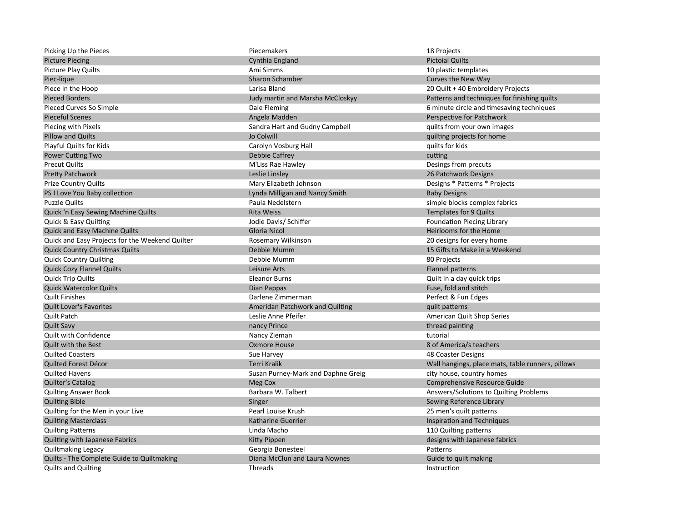| Picking Up the Pieces                           | Piecemakers                        | 18 Projects                                       |
|-------------------------------------------------|------------------------------------|---------------------------------------------------|
| <b>Picture Piecing</b>                          | Cynthia England                    | <b>Pictoial Quilts</b>                            |
| <b>Picture Play Quilts</b>                      | Ami Simms                          | 10 plastic templates                              |
| Piec-lique                                      | <b>Sharon Schamber</b>             | Curves the New Way                                |
| Piece in the Hoop                               | Larisa Bland                       | 20 Quilt + 40 Embroidery Projects                 |
| <b>Pieced Borders</b>                           | Judy martin and Marsha McCloskyy   | Patterns and techniques for finishing quilts      |
| Pieced Curves So Simple                         | Dale Fleming                       | 6 minute circle and timesaving techniques         |
| <b>Pieceful Scenes</b>                          | Angela Madden                      | Perspective for Patchwork                         |
| Piecing with Pixels                             | Sandra Hart and Gudny Campbell     | quilts from your own images                       |
| <b>Pillow and Quilts</b>                        | Jo Colwill                         | quilting projects for home                        |
| Playful Quilts for Kids                         | Carolyn Vosburg Hall               | quilts for kids                                   |
| <b>Power Cutting Two</b>                        | Debbie Caffrey                     | cutting                                           |
| <b>Precut Quilts</b>                            | M'Liss Rae Hawley                  | Desings from precuts                              |
| <b>Pretty Patchwork</b>                         | Leslie Linsley                     | 26 Patchwork Designs                              |
| <b>Prize Country Quilts</b>                     | Mary Elizabeth Johnson             | Designs * Patterns * Projects                     |
| PS I Love You Baby collection                   | Lynda Milligan and Nancy Smith     | <b>Baby Designs</b>                               |
| <b>Puzzle Quilts</b>                            | Paula Nedelstern                   | simple blocks complex fabrics                     |
| Quick 'n Easy Sewing Machine Quilts             | <b>Rita Weiss</b>                  | <b>Templates for 9 Quilts</b>                     |
| Quick & Easy Quilting                           | Jodie Davis/ Schiffer              | <b>Foundation Piecing Library</b>                 |
| <b>Quick and Easy Machine Quilts</b>            | <b>Gloria Nicol</b>                | Heirlooms for the Home                            |
| Quick and Easy Projects for the Weekend Quilter | Rosemary Wilkinson                 | 20 designs for every home                         |
| <b>Quick Country Christmas Quilts</b>           | Debbie Mumm                        | 15 Gifts to Make in a Weekend                     |
| <b>Quick Country Quilting</b>                   | Debbie Mumm                        | 80 Projects                                       |
| <b>Quick Cozy Flannel Quilts</b>                | Leisure Arts                       | Flannel patterns                                  |
| <b>Quick Trip Quilts</b>                        | <b>Eleanor Burns</b>               | Quilt in a day quick trips                        |
| <b>Quick Watercolor Quilts</b>                  | Dian Pappas                        | Fuse, fold and stitch                             |
| <b>Quilt Finishes</b>                           | Darlene Zimmerman                  | Perfect & Fun Edges                               |
| <b>Quilt Lover's Favorites</b>                  | Ameridan Patchwork and Quilting    | quilt patterns                                    |
| <b>Quilt Patch</b>                              | Leslie Anne Pfeifer                | American Quilt Shop Series                        |
| <b>Quilt Savy</b>                               | nancy Prince                       | thread painting                                   |
| Quilt with Confidence                           | Nancy Zieman                       | tutorial                                          |
| <b>Quilt with the Best</b>                      | <b>Oxmore House</b>                | 8 of America/s teachers                           |
| <b>Quilted Coasters</b>                         | Sue Harvey                         | 48 Coaster Designs                                |
| Quilted Forest Décor                            | <b>Terri Kralik</b>                | Wall hangings, place mats, table runners, pillows |
| <b>Quilted Havens</b>                           | Susan Purney-Mark and Daphne Greig | city house, country homes                         |
| <b>Quilter's Catalog</b>                        | Meg Cox                            | <b>Comprehensive Resource Guide</b>               |
| <b>Quilting Answer Book</b>                     | Barbara W. Talbert                 | Answers/Solutions to Quilting Problems            |
| <b>Quilting Bible</b>                           | Singer                             | Sewing Reference Library                          |
| Quilting for the Men in your Live               | Pearl Louise Krush                 | 25 men's quilt patterns                           |
| <b>Quilting Masterclass</b>                     | <b>Katharine Guerrier</b>          | Inspiration and Techniques                        |
| <b>Quilting Patterns</b>                        | Linda Macho                        | 110 Quilting patterns                             |
| Quilting with Japanese Fabrics                  | Kitty Pippen                       | designs with Japanese fabrics                     |
| <b>Quiltmaking Legacy</b>                       | Georgia Bonesteel                  | Patterns                                          |
| Quilts - The Complete Guide to Quiltmaking      | Diana McClun and Laura Nownes      | Guide to quilt making                             |
| <b>Quilts and Quilting</b>                      | Threads                            | Instruction                                       |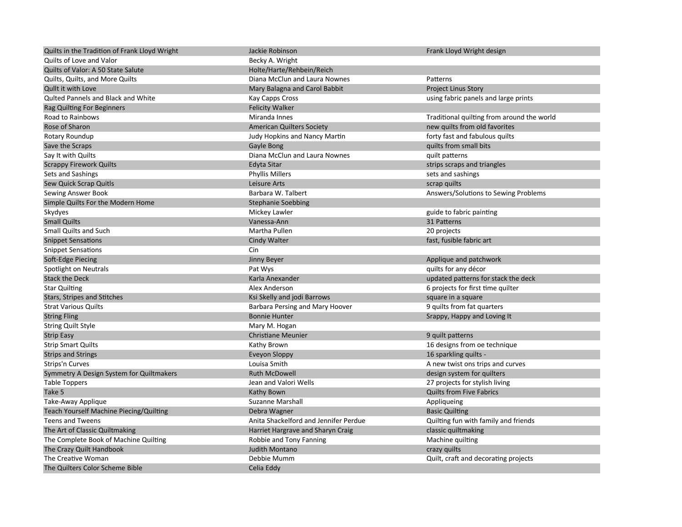| Quilts in the Tradition of Frank Lloyd Wright  | Jackie Robinson                       | Frank Lloyd Wright design                  |
|------------------------------------------------|---------------------------------------|--------------------------------------------|
| Quilts of Love and Valor                       | Becky A. Wright                       |                                            |
| Quilts of Valor: A 50 State Salute             | Holte/Harte/Rehbein/Reich             |                                            |
| Quilts, Quilts, and More Quilts                | Diana McClun and Laura Nownes         | Patterns                                   |
| Qullt it with Love                             | Mary Balagna and Carol Babbit         | <b>Project Linus Story</b>                 |
| Quited Pannels and Black and White             | Kay Capps Cross                       | using fabric panels and large prints       |
| Rag Quilting For Beginners                     | <b>Felicity Walker</b>                |                                            |
| Road to Rainbows                               | Miranda Innes                         | Traditional quilting from around the world |
| Rose of Sharon                                 | <b>American Quilters Society</b>      | new quilts from old favorites              |
| Rotary Roundup                                 | Judy Hopkins and Nancy Martin         | forty fast and fabulous quilts             |
| Save the Scraps                                | Gayle Bong                            | quilts from small bits                     |
| Say It with Quilts                             | Diana McClun and Laura Nownes         | quilt patterns                             |
| <b>Scrappy Firework Quilts</b>                 | Edyta Sitar                           | strips scraps and triangles                |
| Sets and Sashings                              | <b>Phyllis Millers</b>                | sets and sashings                          |
| Sew Quick Scrap Quitls                         | Leisure Arts                          | scrap quilts                               |
| Sewing Answer Book                             | Barbara W. Talbert                    | Answers/Solutions to Sewing Problems       |
| Simple Quilts For the Modern Home              | <b>Stephanie Soebbing</b>             |                                            |
| Skydyes                                        | Mickey Lawler                         | guide to fabric painting                   |
| <b>Small Quilts</b>                            | Vanessa-Ann                           | 31 Patterns                                |
| <b>Small Quilts and Such</b>                   | Martha Pullen                         | 20 projects                                |
| <b>Snippet Sensations</b>                      | <b>Cindy Walter</b>                   | fast, fusible fabric art                   |
| <b>Snippet Sensations</b>                      | Cin                                   |                                            |
| Soft-Edge Piecing                              | Jinny Beyer                           | Applique and patchwork                     |
| Spotlight on Neutrals                          | Pat Wys                               | quilts for any décor                       |
| <b>Stack the Deck</b>                          | Karla Anexander                       | updated patterns for stack the deck        |
| <b>Star Quilting</b>                           | Alex Anderson                         | 6 projects for first time quilter          |
| Stars, Stripes and Stitches                    | Ksi Skelly and jodi Barrows           | square in a square                         |
| <b>Strat Various Quilts</b>                    | Barbara Persing and Mary Hoover       | 9 quilts from fat quarters                 |
| <b>String Fling</b>                            | <b>Bonnie Hunter</b>                  | Srappy, Happy and Loving It                |
| <b>String Quilt Style</b>                      | Mary M. Hogan                         |                                            |
| <b>Strip Easy</b>                              | <b>Christiane Meunier</b>             | 9 quilt patterns                           |
| <b>Strip Smart Quilts</b>                      | Kathy Brown                           | 16 designs from oe technique               |
| <b>Strips and Strings</b>                      | Eveyon Sloppy                         | 16 sparkling quilts -                      |
| Strips'n Curves                                | Louisa Smith                          | A new twist ons trips and curves           |
| Symmetry A Design System for Quiltmakers       | <b>Ruth McDowell</b>                  | design system for quilters                 |
| <b>Table Toppers</b>                           | Jean and Valori Wells                 | 27 projects for stylish living             |
| Take 5                                         | Kathy Bown                            | <b>Quilts from Five Fabrics</b>            |
| Take-Away Applique                             | <b>Suzanne Marshall</b>               | Appliqueing                                |
| <b>Teach Yourself Machine Piecing/Quilting</b> | Debra Wagner                          | <b>Basic Quilting</b>                      |
| <b>Teens and Tweens</b>                        | Anita Shackelford and Jennifer Perdue | Quilting fun with family and friends       |
| The Art of Classic Quiltmaking                 | Harriet Hargrave and Sharyn Craig     | classic quiltmaking                        |
| The Complete Book of Machine Quilting          | Robbie and Tony Fanning               | Machine quilting                           |
| The Crazy Quilt Handbook                       | <b>Judith Montano</b>                 | crazy quilts                               |
| The Creative Woman                             | Debbie Mumm                           | Quilt, craft and decorating projects       |
| The Quilters Color Scheme Bible                | Celia Eddy                            |                                            |